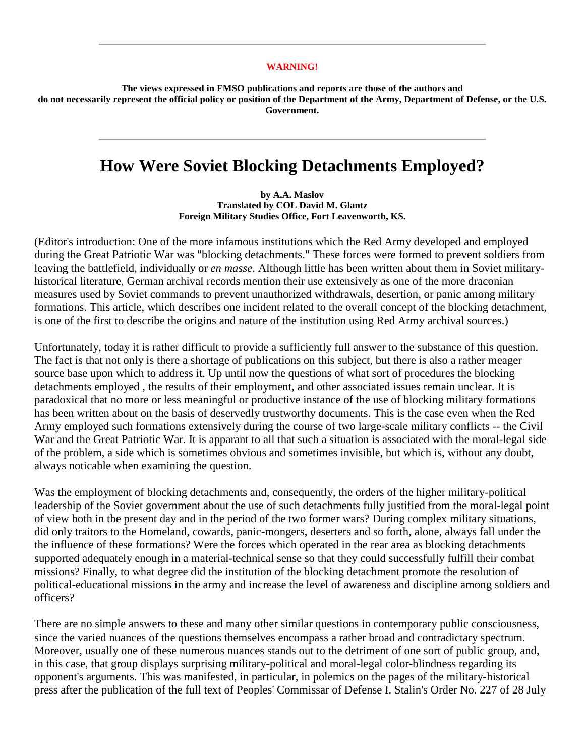## **WARNING!**

**The views expressed in FMSO publications and reports are those of the authors and do not necessarily represent the official policy or position of the Department of the Army, Department of Defense, or the U.S. Government.** 

## **How Were Soviet Blocking Detachments Employed?**

**by A.A. Maslov Translated by COL David M. Glantz Foreign Military Studies Office, Fort Leavenworth, KS.** 

(Editor's introduction: One of the more infamous institutions which the Red Army developed and employed during the Great Patriotic War was "blocking detachments." These forces were formed to prevent soldiers from leaving the battlefield, individually or *en masse*. Although little has been written about them in Soviet militaryhistorical literature, German archival records mention their use extensively as one of the more draconian measures used by Soviet commands to prevent unauthorized withdrawals, desertion, or panic among military formations. This article, which describes one incident related to the overall concept of the blocking detachment, is one of the first to describe the origins and nature of the institution using Red Army archival sources.)

Unfortunately, today it is rather difficult to provide a sufficiently full answer to the substance of this question. The fact is that not only is there a shortage of publications on this subject, but there is also a rather meager source base upon which to address it. Up until now the questions of what sort of procedures the blocking detachments employed , the results of their employment, and other associated issues remain unclear. It is paradoxical that no more or less meaningful or productive instance of the use of blocking military formations has been written about on the basis of deservedly trustworthy documents. This is the case even when the Red Army employed such formations extensively during the course of two large-scale military conflicts -- the Civil War and the Great Patriotic War. It is apparant to all that such a situation is associated with the moral-legal side of the problem, a side which is sometimes obvious and sometimes invisible, but which is, without any doubt, always noticable when examining the question.

Was the employment of blocking detachments and, consequently, the orders of the higher military-political leadership of the Soviet government about the use of such detachments fully justified from the moral-legal point of view both in the present day and in the period of the two former wars? During complex military situations, did only traitors to the Homeland, cowards, panic-mongers, deserters and so forth, alone, always fall under the the influence of these formations? Were the forces which operated in the rear area as blocking detachments supported adequately enough in a material-technical sense so that they could successfully fulfill their combat missions? Finally, to what degree did the institution of the blocking detachment promote the resolution of political-educational missions in the army and increase the level of awareness and discipline among soldiers and officers?

There are no simple answers to these and many other similar questions in contemporary public consciousness, since the varied nuances of the questions themselves encompass a rather broad and contradictary spectrum. Moreover, usually one of these numerous nuances stands out to the detriment of one sort of public group, and, in this case, that group displays surprising military-political and moral-legal color-blindness regarding its opponent's arguments. This was manifested, in particular, in polemics on the pages of the military-historical press after the publication of the full text of Peoples' Commissar of Defense I. Stalin's Order No. 227 of 28 July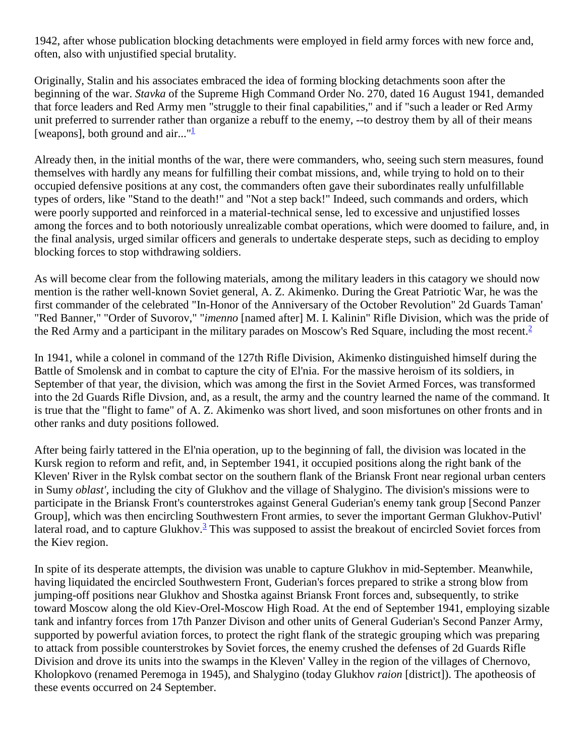1942, after whose publication blocking detachments were employed in field army forces with new force and, often, also with unjustified special brutality.

Originally, Stalin and his associates embraced the idea of forming blocking detachments soon after the beginning of the war. *Stavka* of the Supreme High Command Order No. 270, dated 16 August 1941, demanded that force leaders and Red Army men "struggle to their final capabilities," and if "such a leader or Red Army unit preferred to surrender rather than organize a rebuff to the enemy, --to destroy them by all of their means [weapons], both ground and air..." $\frac{1}{2}$ 

Already then, in the initial months of the war, there were commanders, who, seeing such stern measures, found themselves with hardly any means for fulfilling their combat missions, and, while trying to hold on to their occupied defensive positions at any cost, the commanders often gave their subordinates really unfulfillable types of orders, like "Stand to the death!" and "Not a step back!" Indeed, such commands and orders, which were poorly supported and reinforced in a material-technical sense, led to excessive and unjustified losses among the forces and to both notoriously unrealizable combat operations, which were doomed to failure, and, in the final analysis, urged similar officers and generals to undertake desperate steps, such as deciding to employ blocking forces to stop withdrawing soldiers.

As will become clear from the following materials, among the military leaders in this catagory we should now mention is the rather well-known Soviet general, A. Z. Akimenko. During the Great Patriotic War, he was the first commander of the celebrated "In-Honor of the Anniversary of the October Revolution" 2d Guards Taman' "Red Banner," "Order of Suvorov," "*imenno* [named after] M. I. Kalinin" Rifle Division, which was the pride of the Red Army and a participant in the military parades on Moscow's Red Square, including the most recent.<sup>[2](http://fmso.leavenworth.army.mil/documents/blockdet.htm#2)</sup>

In 1941, while a colonel in command of the 127th Rifle Division, Akimenko distinguished himself during the Battle of Smolensk and in combat to capture the city of El'nia. For the massive heroism of its soldiers, in September of that year, the division, which was among the first in the Soviet Armed Forces, was transformed into the 2d Guards Rifle Divsion, and, as a result, the army and the country learned the name of the command. It is true that the "flight to fame" of A. Z. Akimenko was short lived, and soon misfortunes on other fronts and in other ranks and duty positions followed.

After being fairly tattered in the El'nia operation, up to the beginning of fall, the division was located in the Kursk region to reform and refit, and, in September 1941, it occupied positions along the right bank of the Kleven' River in the Rylsk combat sector on the southern flank of the Briansk Front near regional urban centers in Sumy *oblast'*, including the city of Glukhov and the village of Shalygino. The division's missions were to participate in the Briansk Front's counterstrokes against General Guderian's enemy tank group [Second Panzer Group], which was then encircling Southwestern Front armies, to sever the important German Glukhov-Putivl' lateral road, and to capture Glukhov. $\frac{3}{2}$  This was supposed to assist the breakout of encircled Soviet forces from the Kiev region.

In spite of its desperate attempts, the division was unable to capture Glukhov in mid-September. Meanwhile, having liquidated the encircled Southwestern Front, Guderian's forces prepared to strike a strong blow from jumping-off positions near Glukhov and Shostka against Briansk Front forces and, subsequently, to strike toward Moscow along the old Kiev-Orel-Moscow High Road. At the end of September 1941, employing sizable tank and infantry forces from 17th Panzer Divison and other units of General Guderian's Second Panzer Army, supported by powerful aviation forces, to protect the right flank of the strategic grouping which was preparing to attack from possible counterstrokes by Soviet forces, the enemy crushed the defenses of 2d Guards Rifle Division and drove its units into the swamps in the Kleven' Valley in the region of the villages of Chernovo, Kholopkovo (renamed Peremoga in 1945), and Shalygino (today Glukhov *raion* [district]). The apotheosis of these events occurred on 24 September.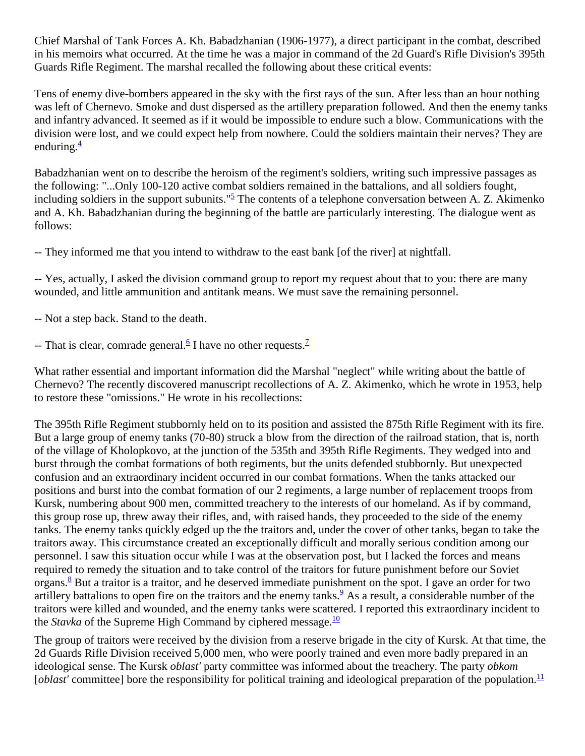Chief Marshal of Tank Forces A. Kh. Babadzhanian (1906-1977), a direct participant in the combat, described in his memoirs what occurred. At the time he was a major in command of the 2d Guard's Rifle Division's 395th Guards Rifle Regiment. The marshal recalled the following about these critical events:

Tens of enemy dive-bombers appeared in the sky with the first rays of the sun. After less than an hour nothing was left of Chernevo. Smoke and dust dispersed as the artillery preparation followed. And then the enemy tanks and infantry advanced. It seemed as if it would be impossible to endure such a blow. Communications with the division were lost, and we could expect help from nowhere. Could the soldiers maintain their nerves? They are enduring. $\frac{4}{3}$  $\frac{4}{3}$  $\frac{4}{3}$ 

Babadzhanian went on to describe the heroism of the regiment's soldiers, writing such impressive passages as the following: "...Only 100-120 active combat soldiers remained in the battalions, and all soldiers fought, including soldiers in the support subunits." $\frac{5}{2}$  The contents of a telephone conversation between A. Z. Akimenko and A. Kh. Babadzhanian during the beginning of the battle are particularly interesting. The dialogue went as follows:

-- They informed me that you intend to withdraw to the east bank [of the river] at nightfall.

-- Yes, actually, I asked the division command group to report my request about that to you: there are many wounded, and little ammunition and antitank means. We must save the remaining personnel.

-- Not a step back. Stand to the death.

-- That is clear, comrade general.<sup>6</sup> I have no other requests.<sup>7</sup>

What rather essential and important information did the Marshal "neglect" while writing about the battle of Chernevo? The recently discovered manuscript recollections of A. Z. Akimenko, which he wrote in 1953, help to restore these "omissions." He wrote in his recollections:

The 395th Rifle Regiment stubbornly held on to its position and assisted the 875th Rifle Regiment with its fire. But a large group of enemy tanks (70-80) struck a blow from the direction of the railroad station, that is, north of the village of Kholopkovo, at the junction of the 535th and 395th Rifle Regiments. They wedged into and burst through the combat formations of both regiments, but the units defended stubbornly. But unexpected confusion and an extraordinary incident occurred in our combat formations. When the tanks attacked our positions and burst into the combat formation of our 2 regiments, a large number of replacement troops from Kursk, numbering about 900 men, committed treachery to the interests of our homeland. As if by command, this group rose up, threw away their rifles, and, with raised hands, they proceeded to the side of the enemy tanks. The enemy tanks quickly edged up the the traitors and, under the cover of other tanks, began to take the traitors away. This circumstance created an exceptionally difficult and morally serious condition among our personnel. I saw this situation occur while I was at the observation post, but I lacked the forces and means required to remedy the situation and to take control of the traitors for future punishment before our Soviet organs. $8$  But a traitor is a traitor, and he deserved immediate punishment on the spot. I gave an order for two artillery battalions to open fire on the traitors and the enemy tanks.  $\frac{9}{5}$  As a result, a considerable number of the traitors were killed and wounded, and the enemy tanks were scattered. I reported this extraordinary incident to the *Stavka* of the Supreme High Command by ciphered message.<sup>10</sup>

The group of traitors were received by the division from a reserve brigade in the city of Kursk. At that time, the 2d Guards Rifle Division received 5,000 men, who were poorly trained and even more badly prepared in an ideological sense. The Kursk *oblast'* party committee was informed about the treachery. The party *obkom*   $[oblast'$  committee] bore the responsibility for political training and ideological preparation of the population.<sup>11</sup>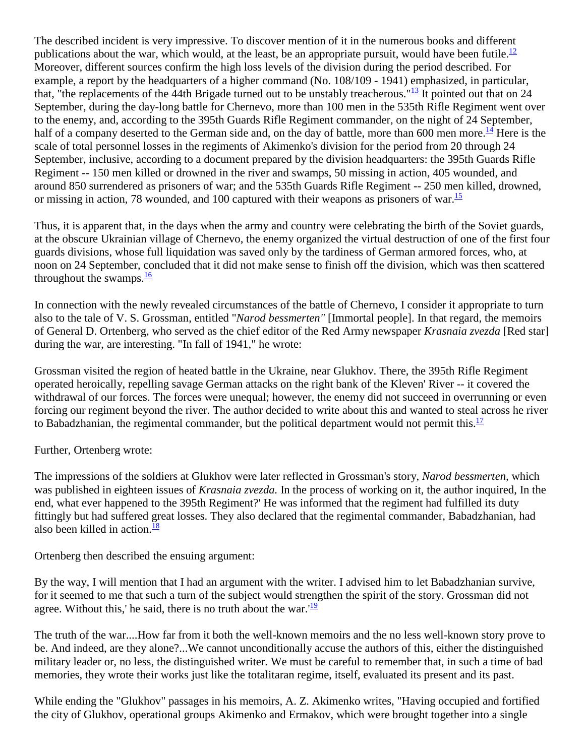The described incident is very impressive. To discover mention of it in the numerous books and different publications about the war, which would, at the least, be an appropriate pursuit, would have been futile.<sup>12</sup> Moreover, different sources confirm the high loss levels of the division during the period described. For example, a report by the headquarters of a higher command (No. 108/109 - 1941) emphasized, in particular, that, "the replacements of the 44th Brigade turned out to be unstably treacherous."<sup>13</sup> It pointed out that on 24 September, during the day-long battle for Chernevo, more than 100 men in the 535th Rifle Regiment went over to the enemy, and, according to the 395th Guards Rifle Regiment commander, on the night of 24 September, half of a company deserted to the German side and, on the day of battle, more than 600 men more.<sup>[14](http://fmso.leavenworth.army.mil/documents/blockdet.htm#14)</sup> Here is the scale of total personnel losses in the regiments of Akimenko's division for the period from 20 through 24 September, inclusive, according to a document prepared by the division headquarters: the 395th Guards Rifle Regiment -- 150 men killed or drowned in the river and swamps, 50 missing in action, 405 wounded, and around 850 surrendered as prisoners of war; and the 535th Guards Rifle Regiment -- 250 men killed, drowned, or missing in action, 78 wounded, and 100 captured with their weapons as prisoners of war. $\frac{15}{12}$ 

Thus, it is apparent that, in the days when the army and country were celebrating the birth of the Soviet guards, at the obscure Ukrainian village of Chernevo, the enemy organized the virtual destruction of one of the first four guards divisions, whose full liquidation was saved only by the tardiness of German armored forces, who, at noon on 24 September, concluded that it did not make sense to finish off the division, which was then scattered throughout the swamps. $\frac{16}{1}$ 

In connection with the newly revealed circumstances of the battle of Chernevo, I consider it appropriate to turn also to the tale of V. S. Grossman, entitled "*Narod bessmerten"* [Immortal people]. In that regard, the memoirs of General D. Ortenberg, who served as the chief editor of the Red Army newspaper *Krasnaia zvezda* [Red star] during the war, are interesting. "In fall of 1941," he wrote:

Grossman visited the region of heated battle in the Ukraine, near Glukhov. There, the 395th Rifle Regiment operated heroically, repelling savage German attacks on the right bank of the Kleven' River -- it covered the withdrawal of our forces. The forces were unequal; however, the enemy did not succeed in overrunning or even forcing our regiment beyond the river. The author decided to write about this and wanted to steal across he river to Babadzhanian, the regimental commander, but the political department would not permit this.<sup>17</sup>

Further, Ortenberg wrote:

The impressions of the soldiers at Glukhov were later reflected in Grossman's story, *Narod bessmerten,* which was published in eighteen issues of *Krasnaia zvezda.* In the process of working on it, the author inquired, In the end, what ever happened to the 395th Regiment?' He was informed that the regiment had fulfilled its duty fittingly but had suffered great losses. They also declared that the regimental commander, Babadzhanian, had also been killed in action. $\frac{18}{18}$  $\frac{18}{18}$  $\frac{18}{18}$ 

Ortenberg then described the ensuing argument:

By the way, I will mention that I had an argument with the writer. I advised him to let Babadzhanian survive, for it seemed to me that such a turn of the subject would strengthen the spirit of the story. Grossman did not agree. Without this,' he said, there is no truth about the war. $12$ 

The truth of the war....How far from it both the well-known memoirs and the no less well-known story prove to be. And indeed, are they alone?...We cannot unconditionally accuse the authors of this, either the distinguished military leader or, no less, the distinguished writer. We must be careful to remember that, in such a time of bad memories, they wrote their works just like the totalitaran regime, itself, evaluated its present and its past.

While ending the "Glukhov" passages in his memoirs, A. Z. Akimenko writes, "Having occupied and fortified the city of Glukhov, operational groups Akimenko and Ermakov, which were brought together into a single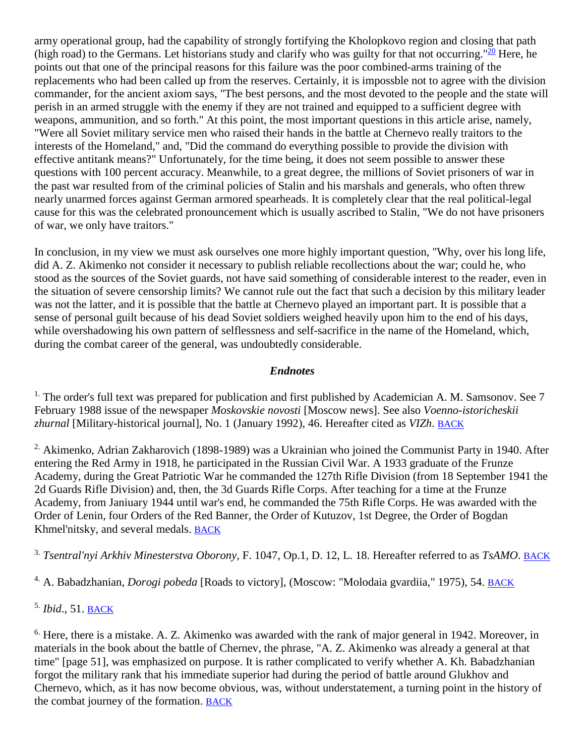army operational group, had the capability of strongly fortifying the Kholopkovo region and closing that path (high road) to the Germans. Let historians study and clarify who was guilty for that not occurring." $\frac{20}{20}$  Here, he points out that one of the principal reasons for this failure was the poor combined-arms training of the replacements who had been called up from the reserves. Certainly, it is impossble not to agree with the division commander, for the ancient axiom says, "The best persons, and the most devoted to the people and the state will perish in an armed struggle with the enemy if they are not trained and equipped to a sufficient degree with weapons, ammunition, and so forth." At this point, the most important questions in this article arise, namely, "Were all Soviet military service men who raised their hands in the battle at Chernevo really traitors to the interests of the Homeland," and, "Did the command do everything possible to provide the division with effective antitank means?" Unfortunately, for the time being, it does not seem possible to answer these questions with 100 percent accuracy. Meanwhile, to a great degree, the millions of Soviet prisoners of war in the past war resulted from of the criminal policies of Stalin and his marshals and generals, who often threw nearly unarmed forces against German armored spearheads. It is completely clear that the real political-legal cause for this was the celebrated pronouncement which is usually ascribed to Stalin, "We do not have prisoners of war, we only have traitors."

In conclusion, in my view we must ask ourselves one more highly important question, "Why, over his long life, did A. Z. Akimenko not consider it necessary to publish reliable recollections about the war; could he, who stood as the sources of the Soviet guards, not have said something of considerable interest to the reader, even in the situation of severe censorship limits? We cannot rule out the fact that such a decision by this military leader was not the latter, and it is possible that the battle at Chernevo played an important part. It is possible that a sense of personal guilt because of his dead Soviet soldiers weighed heavily upon him to the end of his days, while overshadowing his own pattern of selflessness and self-sacrifice in the name of the Homeland, which, during the combat career of the general, was undoubtedly considerable.

## *Endnotes*

<sup>1.</sup> The order's full text was prepared for publication and first published by Academician A. M. Samsonov. See  $7$ February 1988 issue of the newspaper *Moskovskie novosti* [Moscow news]. See also *Voenno-istoricheskii zhurnal* [Military-historical journal], No. 1 (January 1992), 46. Hereafter cited as *VIZh*. [BACK](http://fmso.leavenworth.army.mil/documents/blockdet.htm#1a)

<sup>2.</sup> Akimenko, Adrian Zakharovich (1898-1989) was a Ukrainian who joined the Communist Party in 1940. After entering the Red Army in 1918, he participated in the Russian Civil War. A 1933 graduate of the Frunze Academy, during the Great Patriotic War he commanded the 127th Rifle Division (from 18 September 1941 the 2d Guards Rifle Division) and, then, the 3d Guards Rifle Corps. After teaching for a time at the Frunze Academy, from Janiuary 1944 until war's end, he commanded the 75th Rifle Corps. He was awarded with the Order of Lenin, four Orders of the Red Banner, the Order of Kutuzov, 1st Degree, the Order of Bogdan Khmel'nitsky, and several medals. [BACK](http://fmso.leavenworth.army.mil/documents/blockdet.htm#2a)

3. *Tsentral'nyi Arkhiv Minesterstva Oborony,* F. 1047, Op.1, D. 12, L. 18. Hereafter referred to as *TsAMO*. [BACK](http://fmso.leavenworth.army.mil/documents/blockdet.htm#3a)

4. A. Babadzhanian, *Dorogi pobeda* [Roads to victory], (Moscow: "Molodaia gvardiia," 1975), 54. [BACK](http://fmso.leavenworth.army.mil/documents/blockdet.htm#4a)

5. *Ibid*., 51. [BACK](http://fmso.leavenworth.army.mil/documents/blockdet.htm#5a)

<sup>6.</sup> Here, there is a mistake. A. Z. Akimenko was awarded with the rank of major general in 1942. Moreover, in materials in the book about the battle of Chernev, the phrase, "A. Z. Akimenko was already a general at that time" [page 51], was emphasized on purpose. It is rather complicated to verify whether A. Kh. Babadzhanian forgot the military rank that his immediate superior had during the period of battle around Glukhov and Chernevo, which, as it has now become obvious, was, without understatement, a turning point in the history of the combat journey of the formation. [BACK](http://fmso.leavenworth.army.mil/documents/blockdet.htm#6a)